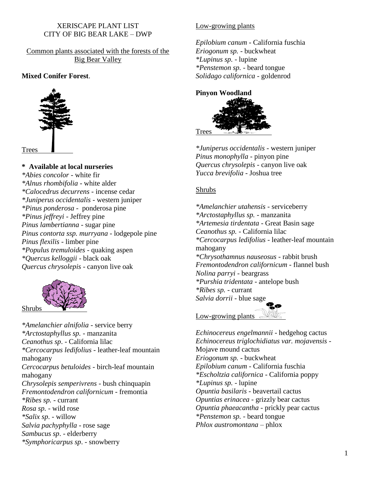# XERISCAPE PLANT LIST CITY OF BIG BEAR LAKE – DWP

Common plants associated with the forests of the Big Bear Valley

## **Mixed Conifer Forest**.



**\* Available at local nurseries** *\*Abies concolor* - white fir *\*Alnus rhombifolia* - white alder *\*Calocedrus decurrens* - incense cedar *\*Juniperus occidentalis* - western juniper *\*Pinus ponderosa -* ponderosa pine *\*Pinus jeffreyi* - Jeffrey pine *Pinus lambertianna* - sugar pine *Pinus contorta ssp. murryana* - lodgepole pine *Pinus flexilis* - limber pine *\*Populus tremuloides* - quaking aspen *\*Quercus kelloggii* - black oak *Quercus chrysolepis* - canyon live oak



*\*Amelanchier alnifolia* - service berry *\*Arctostaphyllus sp.* - manzanita *Ceanothus sp*. - California lilac *\*Cercocarpus ledifolius* - leather-leaf mountain mahogany *Cercocarpus betuloides* - birch-leaf mountain mahogany *Chrysolepis semperivrens* - bush chinquapin *Fremontodendron californicum* - fremontia *\*Ribes sp.* - currant *Rosa sp.* - wild rose *\*Salix sp*. - willow *Salvia pachyphylla* - rose sage *Sambucus sp*. - elderberry *\*Symphoricarpus sp*. - snowberry

# Low-growing plants

*Epilobium canum* - California fuschia *Eriogonum sp.* - buckwheat *\*Lupinus sp.* - lupine *\*Penstemon sp.* - beard tongue *Solidago californica* - goldenrod

## **Pinyon Woodland**



*\*Juniperus occidentalis* - western juniper *Pinus monophylla* - pinyon pine *Quercus chrysolepis* - canyon live oak *Yucca brevifolia* - Joshua tree

### Shrubs

*\*Amelanchier utahensis* - serviceberry *\*Arctostaphyllus sp.* - manzanita *\*Artemesia tirdentata* - Great Basin sage *Ceanothus sp.* - California lilac *\*Cercocarpus ledifolius* - leather-leaf mountain mahogany *\*Chrysothamnus nauseosus* - rabbit brush *Fremontodendron californicum* - flannel bush *Nolina parryi* - beargrass *\*Purshia tridentata* - antelope bush *\*Ribes sp.* - currant *Salvia dorrii* - blue sage

Low-growing plants

*Echinocereus engelmannii* - hedgehog cactus *Echinocereus triglochidiatus var. mojavensis* - Mojave mound cactus *Eriogonum sp.* - buckwheat *Epilobium canum* - California fuschia *\*Escholtzia californica* - California poppy *\*Lupinus sp.* - lupine *Opuntia basilaris* - beavertail cactus *Opuntias erinacea* - grizzly bear cactus *Opuntia phaeacantha* - prickly pear cactus *\*Penstemon sp.* - beard tongue *Phlox austromontana* – phlox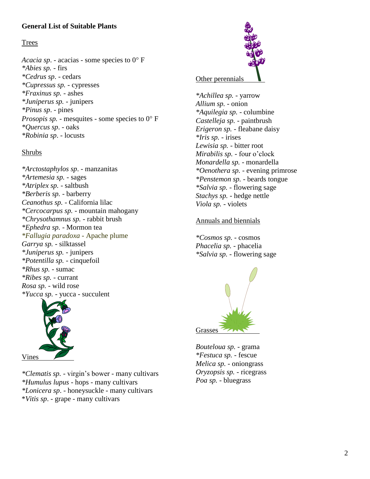# **General List of Suitable Plants**

### Trees

*Acacia sp.* - acacias - some species to  $0^{\circ}$  F *\*Abies sp.* - firs *\*Cedrus sp*. - cedars *\*Cupressus sp.* - cypresses *\*Fraxinus sp.* - ashes *\*Juniperus sp.* - junipers *\*Pinus sp*. - pines *Prosopis sp.* - mesquites - some species to  $0^{\circ}$  F *\*Quercus sp*. - oaks *\*Robinia sp*. - locusts

### Shrubs

*\*Arctostaphylos sp*. - manzanitas *\*Artemesia sp.* - sages *\*Atriplex sp.* - saltbush *\*Berberis sp.* - barberry *Ceanothus sp.* - California lilac *\*Cercocarpus sp.* - mountain mahogany *\*Chrysothamnus sp.* - rabbit brush *\*Ephedra sp.* - Mormon tea *\*Fallugia paradoxa* - Apache plume *Garrya sp.* - silktassel *\*Juniperus sp.* - junipers *\*Potentilla sp.* - cinquefoil *\*Rhus sp.* - sumac *\*Ribes sp.* - currant *Rosa sp.* - wild rose *\*Yucca sp.* - yucca - succulent



*\*Clematis sp.* - virgin's bower - many cultivars *\*Humulus lupus* - hops - many cultivars *\*Lonicera sp*. - honeysuckle - many cultivars \**Vitis sp*. - grape - many cultivars



*\*Achillea sp.* - yarrow *Allium sp.* - onion *\*Aquilegia sp.* - columbine *Castelleja sp.* - paintbrush *Erigeron sp.* - fleabane daisy *\*Iris sp.* - irises *Lewisia sp.* - bitter root *Mirabilis sp.* - four o'clock *Monardella sp.* - monardella *\*Oenothera sp.* - evening primrose *\*Penstemon sp.* - beards tongue *\*Salvia sp.* - flowering sage *Stachys sp.* - hedge nettle *Viola sp.* - violets

#### Annuals and biennials

*\*Cosmos sp.* - cosmos *Phacelia sp.* - phacelia *\*Salvia sp.* - flowering sage



*Bouteloua sp.* - grama *\*Festuca sp.* - fescue *Melica sp.* - oniongrass *Oryzopsis sp.* - ricegrass *Poa sp.* - bluegrass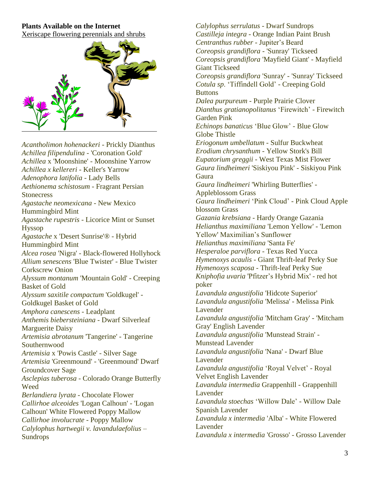# **Plants Available on the Internet**

Xeriscape flowering perennials and shrubs



*Acantholimon hohenackeri* - Prickly Dianthus *Achillea filipendulina* - 'Coronation Gold' *Achillea* x 'Moonshine' - Moonshine Yarrow *Achillea x kellereri* - Keller's Yarrow *Adenophora latifolia* - Lady Bells *Aethionema schistosum* - Fragrant Persian **Stonecress** *Agastache neomexicana* - New Mexico Hummingbird Mint *Agastache rupestris* - Licorice Mint or Sunset Hyssop *Agastache* x 'Desert Sunrise'® - Hybrid Hummingbird Mint *Alcea rosea* 'Nigra' - Black-flowered Hollyhock *Allium senescens* 'Blue Twister' - Blue Twister Corkscrew Onion *Alyssum montanum* 'Mountain Gold' - Creeping Basket of Gold *Alyssum saxitile compactum* 'Goldkugel' - Goldkugel Basket of Gold *Amphora canescens* - Leadplant *Anthemis biebersteiniana* - Dwarf Silverleaf Marguerite Daisy *Artemisia abrotanum* 'Tangerine' - Tangerine Southernwood *Artemisia* x 'Powis Castle' - Silver Sage *Artemisia* 'Greenmound' - 'Greenmound' Dwarf Groundcover Sage *Asclepias tuberosa* - Colorado Orange Butterfly Weed *Berlandiera lyrata* - Chocolate Flower *Callirhoe alceoides* 'Logan Calhoun' - 'Logan Calhoun' White Flowered Poppy Mallow *Callirhoe involucrate* - Poppy Mallow *Calylophus hartwegii v. lavandulaefolius* – Sundrops

*Calylophus serrulatus* - Dwarf Sundrops *Castilleja integra* - Orange Indian Paint Brush *Centranthus rubber* - Jupiter's Beard *Coreopsis grandiflora* - 'Sunray' Tickseed *Coreopsis grandiflora* 'Mayfield Giant' - Mayfield Giant Tickseed *Coreopsis grandiflora* 'Sunray' - 'Sunray' Tickseed *Cotula sp*. 'Tiffindell Gold' - Creeping Gold **Buttons** *Dalea purpureum* - Purple Prairie Clover *Dianthus gratianopolitanus* 'Firewitch' - Firewitch Garden Pink *Echinops banaticus* 'Blue Glow' - Blue Glow Globe Thistle *Eriogonum umbellatum* - Sulfur Buckwheat *Erodium chrysanthum* - Yellow Stork's Bill *Eupatorium greggii* - West Texas Mist Flower *Gaura lindheimeri* 'Siskiyou Pink' - Siskiyou Pink **Gaura** *Gaura lindheimeri* 'Whirling Butterflies' - Appleblossom Grass *Gaura lindheimeri* 'Pink Cloud' - Pink Cloud Apple blossom Grass *Gazania krebsiana* - Hardy Orange Gazania *Helianthus maximiliana* 'Lemon Yellow' - 'Lemon Yellow' Maximilian's Sunflower *Helianthus maximiliana* 'Santa Fe' *Hesperaloe parviflora* - Texas Red Yucca *Hymenoxys acaulis* - Giant Thrift-leaf Perky Sue *Hymenoxys scaposa* - Thrift-leaf Perky Sue *Kniphofia uvaria* 'Pfitzer's Hybrid Mix' - red hot poker *Lavandula angustifolia* 'Hidcote Superior' *Lavandula angustifolia* 'Melissa' - Melissa Pink Lavender *Lavandula angustifolia* 'Mitcham Gray' - 'Mitcham Gray' English Lavender *Lavandula angustifolia* 'Munstead Strain' - Munstead Lavender *Lavandula angustifolia* 'Nana' - Dwarf Blue Lavender *Lavandula angustifolia* 'Royal Velvet' - Royal Velvet English Lavender *Lavandula intermedia* Grappenhill - Grappenhill Lavender *Lavandula stoechas* 'Willow Dale' - Willow Dale Spanish Lavender *Lavandula x intermedia* 'Alba' - White Flowered Lavender *Lavandula x intermedia* 'Grosso' - Grosso Lavender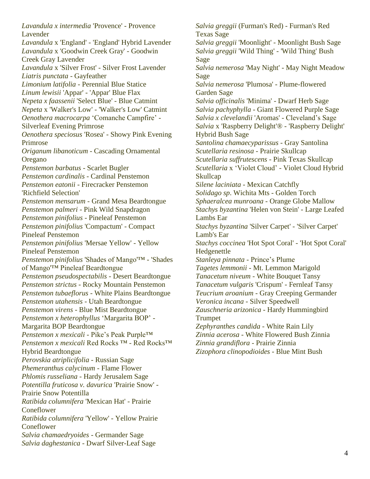*Lavandula x intermedia* 'Provence' - Provence Lavender *Lavandula* x 'England' - 'England' Hybrid Lavender *Lavandula* x 'Goodwin Creek Gray' - Goodwin Creek Gray Lavender *Lavandula* x 'Silver Frost' - Silver Frost Lavender *Liatris punctata* - Gayfeather *Limonium latifolia* - Perennial Blue Statice *Linum lewisii* 'Appar' - 'Appar' Blue Flax *Nepeta x faassenii* 'Select Blue' - Blue Catmint *Nepeta* x 'Walker's Low' - 'Walker's Low' Catmint *Oenothera macrocarpa* 'Comanche Campfire' - Silverleaf Evening Primrose *Oenothera speciosus* 'Rosea' - Showy Pink Evening Primrose *Origanum libanoticum* - Cascading Ornamental Oregano *Penstemon barbatus* - Scarlet Bugler *Penstemon cardinalis* - Cardinal Penstemon *Penstemon eatonii* - Firecracker Penstemon 'Richfield Selection' *Penstemon mensarum* - Grand Mesa Beardtongue *Penstemon palmeri* - Pink Wild Snapdragon *Penstemon pinifolius* - Pineleaf Penstemon *Penstemon pinifolius* 'Compactum' - Compact Pineleaf Penstemon *Penstemon pinifolius* 'Mersae Yellow' - Yellow Pineleaf Penstemon *Penstemon pinifolius* 'Shades of Mango'™ - 'Shades of Mango'™ Pineleaf Beardtongue *Penstemon pseudospectabilis* - Desert Beardtongue *Penstemon strictus* - Rocky Mountain Penstemon *Penstemon tubaeflorus* - White Plains Beardtongue *Penstemon utahensis* - Utah Beardtongue *Penstemon virens* - Blue Mist Beardtongue *Penstemon x heterophyllus* 'Margarita BOP' - Margarita BOP Beardtongue *Penstemon x mexicali* - Pike's Peak Purple™ *Penstemon x mexicali* Red Rocks ™ - Red Rocks™ Hybrid Beardtongue *Perovskia atriplicifolia* - Russian Sage *Phemeranthus calycinum* - Flame Flower *Phlomis russeliana* - Hardy Jerusalem Sage *Potentilla fruticosa v. davurica* 'Prairie Snow' - Prairie Snow Potentilla *Ratibida columnifera* 'Mexican Hat' - Prairie **Coneflower** *Ratibida columnifera* 'Yellow' - Yellow Prairie **Coneflower** *Salvia chamaedryoides* - Germander Sage *Salvia daghestanica* - Dwarf Silver-Leaf Sage

*Salvia greggii* (Furman's Red) - Furman's Red Texas Sage *Salvia greggii* 'Moonlight' - Moonlight Bush Sage *Salvia greggii* 'Wild Thing' - 'Wild Thing' Bush Sage *Salvia nemerosa* 'May Night' - May Night Meadow Sage *Salvia nemerosa* 'Plumosa' - Plume-flowered Garden Sage *Salvia officinalis* 'Minima' - Dwarf Herb Sage *Salvia pachyphylla* - Giant Flowered Purple Sage *Salvia x clevelandii* 'Aromas' - Cleveland's Sage *Salvia* x 'Raspberry Delight'® - 'Raspberry Delight' Hybrid Bush Sage *Santolina chamaecyparissus* - Gray Santolina *Scutellaria resinosa* - Prairie Skullcap *Scutellaria suffrutescens* - Pink Texas Skullcap *Scutellaria* x 'Violet Cloud' - Violet Cloud Hybrid Skullcap *Silene laciniata* - Mexican Catchfly *Solidago sp*. Wichita Mts - Golden Torch *Sphaeralcea munroana* - Orange Globe Mallow *Stachys byzantina* 'Helen von Stein' - Large Leafed Lambs Ear *Stachys byzantina* 'Silver Carpet' - 'Silver Carpet' Lamb's Ear *Stachys coccinea* 'Hot Spot Coral' - 'Hot Spot Coral' Hedgenettle *Stanleya pinnata* - Prince's Plume *Tagetes lemmonii* - Mt. Lemmon Marigold *Tanacetum niveum* - White Bouquet Tansy *Tanacetum vulgaris* 'Crispum' - Fernleaf Tansy *Teucrium aroanium* - Gray Creeping Germander *Veronica incana* - Silver Speedwell *Zauschneria arizonica* - Hardy Hummingbird Trumpet *Zephyranthes candida* - White Rain Lily *Zinnia acerosa* - White Flowered Bush Zinnia *Zinnia grandiflora* - Prairie Zinnia *Zizophora clinopodioides* - Blue Mint Bush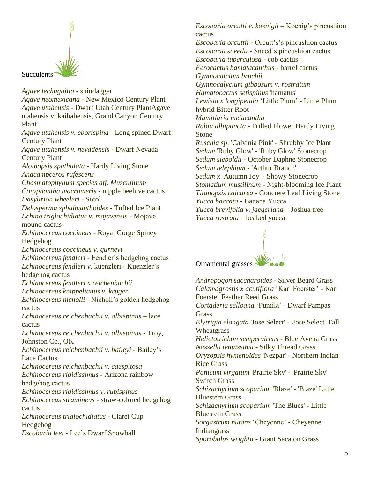

*Agave lechuguilla* - shindagger *Agave neomexicana* - New Mexico Century Plant *Agave utahensis* - Dwarf Utah Century PlantAgave utahensis v. kaibabensis, Grand Canyon Century Plant *Agave utahensis v. eborispina* - Long spined Dwarf Century Plant *Agave utahensis v. nevadensis* - Dwarf Nevada Century Plant *Aloinopsis spathulata* - Hardy Living Stone *Anacampceros rufescens Chasmatophyllum species aff. Musculinum Coryphantha macromeris* - nipple beehive cactus *Dasylirion wheeleri* - Sotol *Delosperma sphalmanthoides* - Tufted Ice Plant *Echino triglochidiatus v. mojavensis -* Mojave mound cactus *Echinocereus coccineus* - Royal Gorge Spiney Hedgehog *Echinocereus coccineus v. gurneyi Echinocereus fendleri* - Fendler's hedgehog cactus *Echinocereus fendleri v.* kuenzleri - Kuenzler's hedgehog cactus *Echinocereus fendleri x reichenbachii Echinocereus knippelianus v. krugeri Echinocereus nicholli* - Nicholl's golden hedgehog cactus *Echinocereus reichenbachii v. albispinus* – lace cactus *Echinocereus reichenbachii v. albispinus* - Troy, Johnston Co., OK *Echinocereus reichenbachii v. baileyi* - Bailey's Lace Cactus *Echinocereus reichenbachii v. caespitosa Echinocereus rigidissimus* - Arizona rainbow hedgehog cactus *Echinocereus rigidissimus v. rubispinus Echinocereus stramineus* - straw-colored hedgehog cactus *Echinocereus triglochidiatus* - Claret Cup Hedgehog *Escobaria leei* - Lee's Dwarf Snowball

*Escobaria orcutti v. koenigii* – Koenig's pincushion cactus

*Escobaria orcuttii* - Orcutt's's pincushion cactus *Escobaria sneedii* - Sneed's pincushion cactus *Escobaria tuberculosa* - cob cactus *Ferocactus hamatacanthus* - barrel cactus *Gymnocalcium bruchii Gymnocalycium gibbosum v. rostratum Hamatocactus setispinus* 'hamatus' *Lewisia x longipetala* 'Little Plum' - Little Plum hybrid Bitter Root *Mamillaria meiacantha Rabia albipuncta* - Frilled Flower Hardy Living Stone *Ruschia sp.* 'Calvinia Pink' - Shrubby Ice Plant *Sedum* 'Ruby Glow' - 'Ruby Glow' Stonecrop *Sedum sieboldii* - October Daphne Stonecrop *Sedum telephium* - 'Arthur Branch' *Sedum* x 'Autumn Joy' - Showy Stonecrop *Stomatium mustilinum* - Night-blooming Ice Plant *Titanopsis calcarea* - Concrete Leaf Living Stone *Yucca baccata* - Banana Yucca *Yucca brevifolia v. jaegeriana* – Joshua tree *Yucca rostrata* – beaked yucca



*Andropogon saccharoides* - Silver Beard Grass *Calamagrostis x acutiflora* 'Karl Foerster' - Karl Foerster Feather Reed Grass *Cortaderia selloana* 'Pumila' - Dwarf Pampas **Grass** *Elytrigia elongata* 'Jose Select' - 'Jose Select' Tall Wheatgrass *Helictotrichon sempervirens* - Blue Avena Grass *Nassella tenuissima* - Silky Thread Grass *Oryzopsis hymenoides* 'Nezpar' - Northern Indian Rice Grass *Panicum virgatum* 'Prairie Sky' - 'Prairie Sky' Switch Grass *Schizachyrium scoparium* 'Blaze' - 'Blaze' Little Bluestem Grass *Schizachyrium scoparium* 'The Blues' - Little Bluestem Grass *Sorgastrum nutans* 'Cheyenne' - Cheyenne Indiangrass *Sporobolus wrightii* - Giant Sacaton Grass